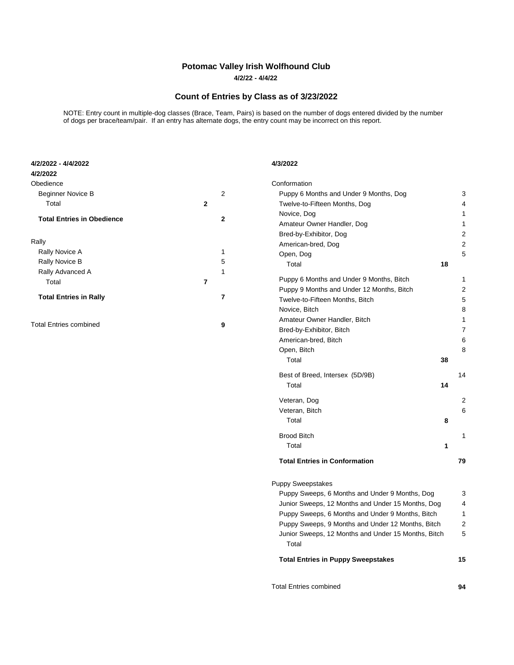## **Potomac Valley Irish Wolfhound Club**

**4/2/22 - 4/4/22**

## **Count of Entries by Class as of 3/23/2022**

NOTE: Entry count in multiple-dog classes (Brace, Team, Pairs) is based on the number of dogs entered divided by the number of dogs per brace/team/pair. If an entry has alternate dogs, the entry count may be incorrect on this report.

| 4/2/2022 - 4/4/2022<br>4/2/2022   |              |                                                              | 4/3/2022                                          |    |                |
|-----------------------------------|--------------|--------------------------------------------------------------|---------------------------------------------------|----|----------------|
| Obedience                         |              |                                                              | Conformation                                      |    |                |
| Beginner Novice B                 |              | $\overline{2}$                                               | Puppy 6 Months and Under 9 Months, Dog            |    | 3              |
| Total                             | $\mathbf{2}$ |                                                              | Twelve-to-Fifteen Months, Dog                     |    | 4              |
| <b>Total Entries in Obedience</b> |              |                                                              | Novice, Dog                                       |    | $\mathbf{1}$   |
|                                   |              | $\mathbf{2}$                                                 | Amateur Owner Handler, Dog                        |    | $\mathbf{1}$   |
|                                   |              |                                                              | Bred-by-Exhibitor, Dog                            |    | $\overline{2}$ |
| Rally                             |              |                                                              | American-bred, Dog                                |    | $\overline{2}$ |
| Rally Novice A                    |              | 1                                                            | Open, Dog                                         |    | 5              |
| Rally Novice B                    |              | 5                                                            | Total                                             | 18 |                |
| Rally Advanced A                  |              | $\mathbf{1}$                                                 |                                                   |    |                |
| Total                             | 7            |                                                              | Puppy 6 Months and Under 9 Months, Bitch          |    | $\mathbf{1}$   |
| <b>Total Entries in Rally</b>     |              | $\bf 7$                                                      | Puppy 9 Months and Under 12 Months, Bitch         |    | $\overline{2}$ |
|                                   |              |                                                              | Twelve-to-Fifteen Months, Bitch                   |    | 5              |
|                                   |              |                                                              | Novice, Bitch                                     |    | 8              |
| <b>Total Entries combined</b>     |              | 9                                                            | Amateur Owner Handler, Bitch                      |    | $\mathbf{1}$   |
|                                   |              |                                                              | Bred-by-Exhibitor, Bitch                          |    | $\overline{7}$ |
|                                   |              |                                                              | American-bred, Bitch                              |    | 6              |
|                                   |              |                                                              | Open, Bitch                                       |    | 8              |
|                                   |              |                                                              | Total                                             | 38 |                |
|                                   |              |                                                              | Best of Breed, Intersex (5D/9B)                   |    | 14             |
|                                   |              |                                                              | Total                                             | 14 |                |
|                                   |              |                                                              | Veteran, Dog                                      |    | $\overline{2}$ |
|                                   |              |                                                              | Veteran, Bitch                                    |    | 6              |
|                                   |              |                                                              | Total                                             | 8  |                |
|                                   |              |                                                              | <b>Brood Bitch</b>                                |    | $\mathbf{1}$   |
|                                   |              |                                                              | Total                                             | 1  |                |
|                                   |              |                                                              | <b>Total Entries in Conformation</b>              |    | 79             |
|                                   |              |                                                              | <b>Puppy Sweepstakes</b>                          |    |                |
|                                   |              |                                                              | Puppy Sweeps, 6 Months and Under 9 Months, Dog    |    | 3              |
|                                   |              |                                                              | Junior Sweeps, 12 Months and Under 15 Months, Dog |    |                |
|                                   |              | Puppy Sweeps, 6 Months and Under 9 Months, Bitch             |                                                   |    | 1              |
|                                   |              | Puppy Sweeps, 9 Months and Under 12 Months, Bitch            |                                                   |    | 2              |
|                                   |              | Junior Sweeps, 12 Months and Under 15 Months, Bitch<br>Total |                                                   |    | 5              |
|                                   |              |                                                              | <b>Total Entries in Puppy Sweepstakes</b>         |    | 15             |
|                                   |              |                                                              | <b>Total Entries combined</b>                     |    | 94             |